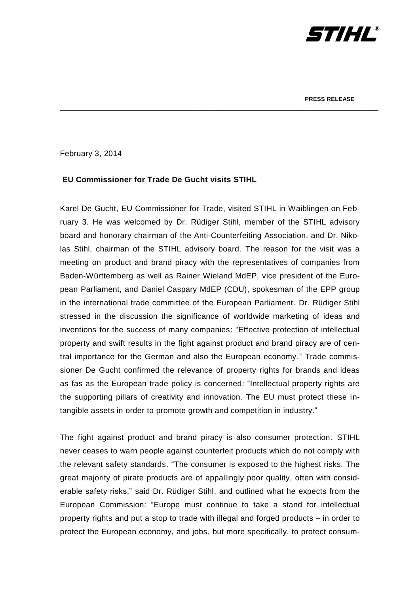

February 3, 2014

## **EU Commissioner for Trade De Gucht visits STIHL**

Karel De Gucht, EU Commissioner for Trade, visited STIHL in Waiblingen on February 3. He was welcomed by Dr. Rüdiger Stihl, member of the STIHL advisory board and honorary chairman of the Anti-Counterfeiting Association, and Dr. Nikolas Stihl, chairman of the STIHL advisory board. The reason for the visit was a meeting on product and brand piracy with the representatives of companies from Baden-Württemberg as well as Rainer Wieland MdEP, vice president of the European Parliament, and Daniel Caspary MdEP (CDU), spokesman of the EPP group in the international trade committee of the European Parliament. Dr. Rüdiger Stihl stressed in the discussion the significance of worldwide marketing of ideas and inventions for the success of many companies: "Effective protection of intellectual property and swift results in the fight against product and brand piracy are of central importance for the German and also the European economy." Trade commissioner De Gucht confirmed the relevance of property rights for brands and ideas as fas as the European trade policy is concerned: "Intellectual property rights are the supporting pillars of creativity and innovation. The EU must protect these intangible assets in order to promote growth and competition in industry."

\_\_\_\_\_\_\_\_\_\_\_\_\_\_\_\_\_\_\_\_\_\_\_\_\_\_\_\_\_\_\_\_\_\_\_\_\_\_\_\_\_\_\_\_\_\_\_\_\_\_\_\_\_\_\_\_\_\_\_\_\_\_\_\_\_\_\_\_\_\_\_

The fight against product and brand piracy is also consumer protection. STIHL never ceases to warn people against counterfeit products which do not comply with the relevant safety standards. "The consumer is exposed to the highest risks. The great majority of pirate products are of appallingly poor quality, often with considerable safety risks," said Dr. Rüdiger Stihl, and outlined what he expects from the European Commission: "Europe must continue to take a stand for intellectual property rights and put a stop to trade with illegal and forged products – in order to protect the European economy, and jobs, but more specifically, to protect consum-